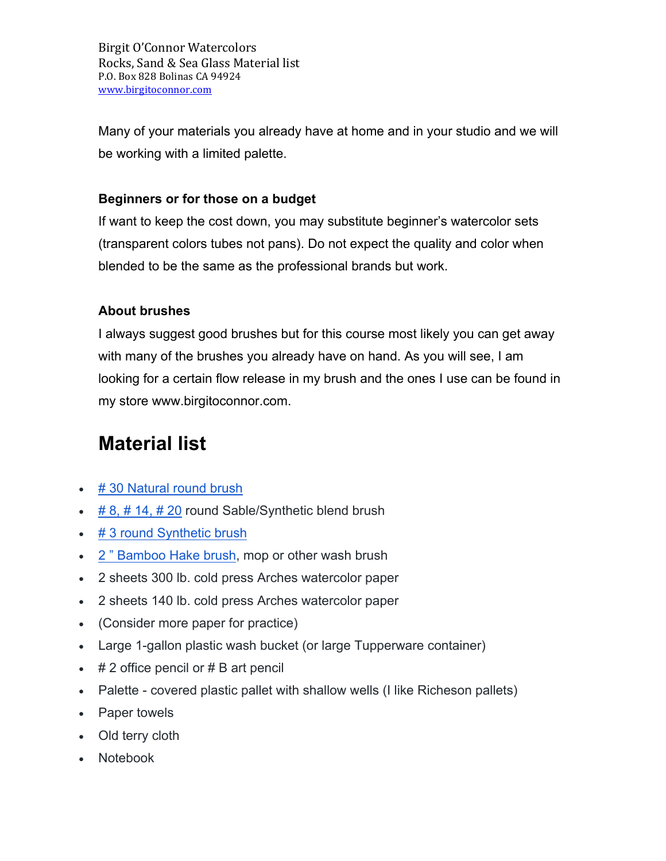Birgit O'Connor Watercolors Rocks, Sand & Sea Glass Material list P.O. Box 828 Bolinas CA 94924 www.birgitoconnor.com

Many of your materials you already have at home and in your studio and we will be working with a limited palette.

### **Beginners or for those on a budget**

If want to keep the cost down, you may substitute beginner's watercolor sets (transparent colors tubes not pans). Do not expect the quality and color when blended to be the same as the professional brands but work.

## **About brushes**

I always suggest good brushes but for this course most likely you can get away with many of the brushes you already have on hand. As you will see, I am looking for a certain flow release in my brush and the ones I use can be found in my store www.birgitoconnor.com.

# **Material list**

- # 30 Natural round brush
- $\cdot$  # 8, # 14, # 20 round Sable/Synthetic blend brush
- # 3 round Synthetic brush
- 2 " Bamboo Hake brush, mop or other wash brush
- 2 sheets 300 lb. cold press Arches watercolor paper
- 2 sheets 140 lb. cold press Arches watercolor paper
- (Consider more paper for practice)
- Large 1-gallon plastic wash bucket (or large Tupperware container)
- $\cdot$  # 2 office pencil or # B art pencil
- Palette covered plastic pallet with shallow wells (I like Richeson pallets)
- Paper towels
- Old terry cloth
- Notebook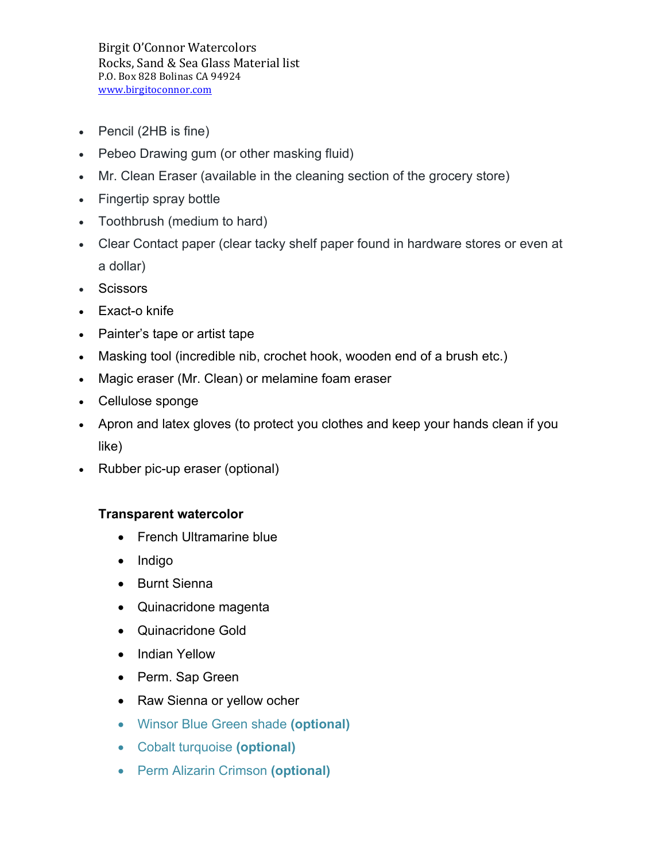Birgit O'Connor Watercolors Rocks, Sand & Sea Glass Material list P.O. Box 828 Bolinas CA 94924 www.birgitoconnor.com

- Pencil (2HB is fine)
- Pebeo Drawing gum (or other masking fluid)
- Mr. Clean Eraser (available in the cleaning section of the grocery store)
- Fingertip spray bottle
- Toothbrush (medium to hard)
- Clear Contact paper (clear tacky shelf paper found in hardware stores or even at a dollar)
- Scissors
- Exact-o knife
- Painter's tape or artist tape
- Masking tool (incredible nib, crochet hook, wooden end of a brush etc.)
- Magic eraser (Mr. Clean) or melamine foam eraser
- Cellulose sponge
- Apron and latex gloves (to protect you clothes and keep your hands clean if you like)
- Rubber pic-up eraser (optional)

## **Transparent watercolor**

- French Ultramarine blue
- Indigo
- Burnt Sienna
- Quinacridone magenta
- Quinacridone Gold
- Indian Yellow
- Perm. Sap Green
- Raw Sienna or yellow ocher
- Winsor Blue Green shade **(optional)**
- Cobalt turquoise **(optional)**
- Perm Alizarin Crimson **(optional)**